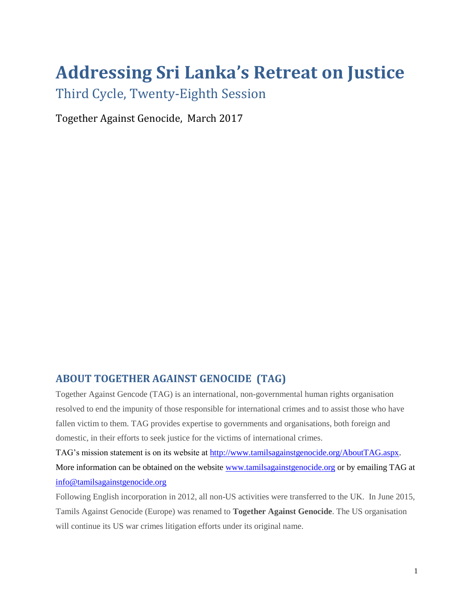# **Addressing Sri Lanka's Retreat on Justice**

Third Cycle, Twenty-Eighth Session

Together Against Genocide, March 2017

## **ABOUT TOGETHER AGAINST GENOCIDE (TAG)**

Together Against Gencode (TAG) is an international, non-governmental human rights organisation resolved to end the impunity of those responsible for international crimes and to assist those who have fallen victim to them. TAG provides expertise to governments and organisations, both foreign and domestic, in their efforts to seek justice for the victims of international crimes.

TAG's mission statement is on its website at [http://www.tamilsagainstgenocide.org/AboutTAG.aspx.](http://www.tamilsagainstgenocide.org/AboutTAG.aspx) More information can be obtained on the website [www.tamilsagainstgenocide.org](http://www.tamilsagainstgenocide.org/) or by emailing TAG at [info@tamilsagainstgenocide.org](mailto:info@tamilsagainstgenocide.org)

Following English incorporation in 2012, all non-US activities were transferred to the UK. In June 2015, Tamils Against Genocide (Europe) was renamed to **Together Against Genocide**. The US organisation will continue its US war crimes litigation efforts under its original name.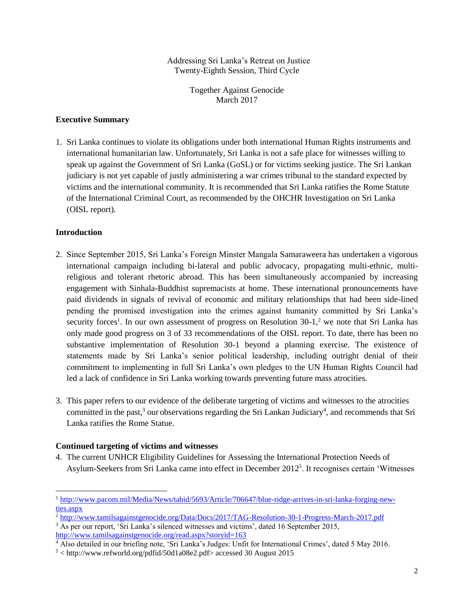Addressing Sri Lanka's Retreat on Justice Twenty-Eighth Session, Third Cycle

> Together Against Genocide March 2017

#### **Executive Summary**

1. Sri Lanka continues to violate its obligations under both international Human Rights instruments and international humanitarian law. Unfortunately, Sri Lanka is not a safe place for witnesses willing to speak up against the Government of Sri Lanka (GoSL) or for victims seeking justice. The Sri Lankan judiciary is not yet capable of justly administering a war crimes tribunal to the standard expected by victims and the international community. It is recommended that Sri Lanka ratifies the Rome Statute of the International Criminal Court, as recommended by the OHCHR Investigation on Sri Lanka (OISL report).

#### **Introduction**

 $\overline{a}$ 

- 2. Since September 2015, Sri Lanka's Foreign Minster Mangala Samaraweera has undertaken a vigorous international campaign including bi-lateral and public advocacy, propagating multi-ethnic, multireligious and tolerant rhetoric abroad. This has been simultaneously accompanied by increasing engagement with Sinhala-Buddhist supremacists at home. These international pronouncements have paid dividends in signals of revival of economic and military relationships that had been side-lined pending the promised investigation into the crimes against humanity committed by Sri Lanka's security forces<sup>1</sup>. In our own assessment of progress on Resolution 30-1,<sup>2</sup> we note that Sri Lanka has only made good progress on 3 of 33 recommendations of the OISL report. To date, there has been no substantive implementation of Resolution 30-1 beyond a planning exercise. The existence of statements made by Sri Lanka's senior political leadership, including outright denial of their commitment to implementing in full Sri Lanka's own pledges to the UN Human Rights Council had led a lack of confidence in Sri Lanka working towards preventing future mass atrocities.
- 3. This paper refers to our evidence of the deliberate targeting of victims and witnesses to the atrocities committed in the past,<sup>3</sup> our observations regarding the Sri Lankan Judiciary<sup>4</sup>, and recommends that Sri Lanka ratifies the Rome Statue.

### **Continued targeting of victims and witnesses**

4. The current UNHCR Eligibility Guidelines for Assessing the International Protection Needs of Asylum-Seekers from Sri Lanka came into effect in December 2012<sup>5</sup>. It recognises certain 'Witnesses

<sup>1</sup> [http://www.pacom.mil/Media/News/tabid/5693/Article/706647/blue-ridge-arrives-in-sri-lanka-forging-new](http://www.pacom.mil/Media/News/tabid/5693/Article/706647/blue-ridge-arrives-in-sri-lanka-forging-new-ties.aspx)[ties.aspx](http://www.pacom.mil/Media/News/tabid/5693/Article/706647/blue-ridge-arrives-in-sri-lanka-forging-new-ties.aspx)

<sup>2</sup> <http://www.tamilsagainstgenocide.org/Data/Docs/2017/TAG-Resolution-30-1-Progress-March-2017.pdf>

<sup>&</sup>lt;sup>3</sup> As per our report, 'Sri Lanka's silenced witnesses and victims', dated 16 September 2015, <http://www.tamilsagainstgenocide.org/read.aspx?storyid=163>

<sup>4</sup> Also detailed in our briefing note, 'Sri Lanka's Judges: Unfit for International Crimes', dated 5 May 2016.

<sup>5</sup> < http://www.refworld.org/pdfid/50d1a08e2.pdf> accessed 30 August 2015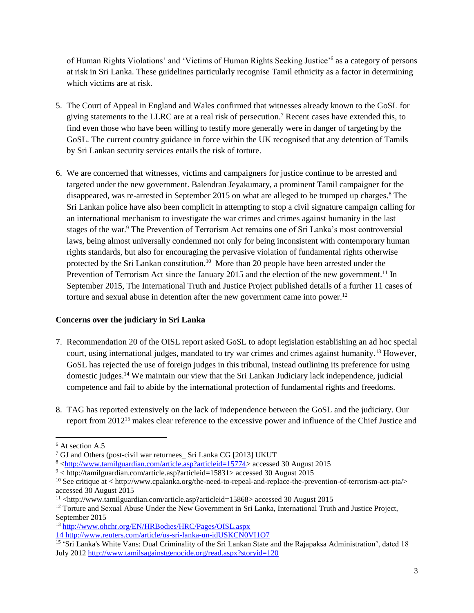of Human Rights Violations' and 'Victims of Human Rights Seeking Justice'<sup>6</sup> as a category of persons at risk in Sri Lanka. These guidelines particularly recognise Tamil ethnicity as a factor in determining which victims are at risk.

- 5. The Court of Appeal in England and Wales confirmed that witnesses already known to the GoSL for giving statements to the LLRC are at a real risk of persecution.<sup>7</sup> Recent cases have extended this, to find even those who have been willing to testify more generally were in danger of targeting by the GoSL. The current country guidance in force within the UK recognised that any detention of Tamils by Sri Lankan security services entails the risk of torture.
- 6. We are concerned that witnesses, victims and campaigners for justice continue to be arrested and targeted under the new government. Balendran Jeyakumary, a prominent Tamil campaigner for the disappeared, was re-arrested in September 2015 on what are alleged to be trumped up charges.<sup>8</sup> The Sri Lankan police have also been complicit in attempting to stop a civil signature campaign calling for an international mechanism to investigate the war crimes and crimes against humanity in the last stages of the war.<sup>9</sup> The Prevention of Terrorism Act remains one of Sri Lanka's most controversial laws, being almost universally condemned not only for being inconsistent with contemporary human rights standards, but also for encouraging the pervasive violation of fundamental rights otherwise protected by the Sri Lankan constitution.<sup>10</sup> More than 20 people have been arrested under the Prevention of Terrorism Act since the January 2015 and the election of the new government.<sup>11</sup> In September 2015, The International Truth and Justice Project published details of a further 11 cases of torture and sexual abuse in detention after the new government came into power.<sup>12</sup>

### **Concerns over the judiciary in Sri Lanka**

- 7. Recommendation 20 of the OISL report asked GoSL to adopt legislation establishing an ad hoc special court, using international judges, mandated to try war crimes and crimes against humanity.<sup>13</sup> However, GoSL has rejected the use of foreign judges in this tribunal, instead outlining its preference for using domestic judges.<sup>14</sup> We maintain our view that the Sri Lankan Judiciary lack independence, judicial competence and fail to abide by the international protection of fundamental rights and freedoms.
- 8. TAG has reported extensively on the lack of independence between the GoSL and the judiciary. Our report from 2012<sup>15</sup> makes clear reference to the excessive power and influence of the Chief Justice and

 $\overline{a}$ 

<sup>&</sup>lt;sup>6</sup> At section A.5

<sup>7</sup> GJ and Others (post-civil war returnees\_ Sri Lanka CG [2013] UKUT

<sup>8</sup> [<http://www.tamilguardian.com/article.asp?articleid=15774>](http://www.tamilguardian.com/article.asp?articleid=15774) accessed 30 August 2015

<sup>9</sup> < http://tamilguardian.com/article.asp?articleid=15831> accessed 30 August 2015

<sup>10</sup> See critique at < http://www.cpalanka.org/the-need-to-repeal-and-replace-the-prevention-of-terrorism-act-pta/> accessed 30 August 2015

<sup>11</sup> <http://www.tamilguardian.com/article.asp?articleid=15868> accessed 30 August 2015

 $12$  Torture and Sexual Abuse Under the New Government in Sri Lanka, International Truth and Justice Project, September 2015

<sup>13</sup> <http://www.ohchr.org/EN/HRBodies/HRC/Pages/OISL.aspx>

<sup>14</sup> <http://www.reuters.com/article/us-sri-lanka-un-idUSKCN0VI1O7>

<sup>&</sup>lt;sup>15</sup> 'Sri Lanka's White Vans: Dual Criminality of the Sri Lankan State and the Rajapaksa Administration', dated 18 July 201[2 http://www.tamilsagainstgenocide.org/read.aspx?storyid=120](http://www.tamilsagainstgenocide.org/read.aspx?storyid=120)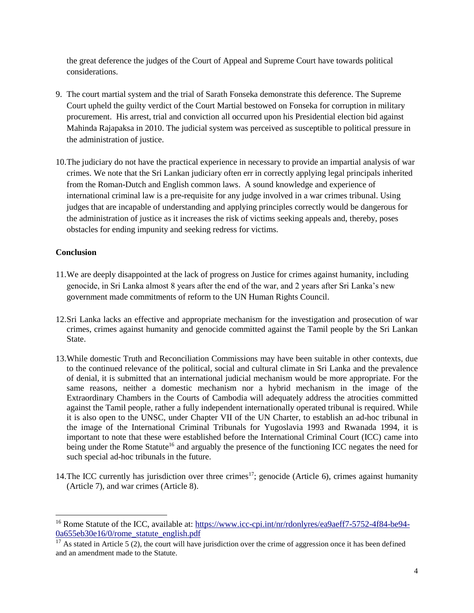the great deference the judges of the Court of Appeal and Supreme Court have towards political considerations.

- 9. The court martial system and the trial of Sarath Fonseka demonstrate this deference. The Supreme Court upheld the guilty verdict of the Court Martial bestowed on Fonseka for corruption in military procurement. His arrest, trial and conviction all occurred upon his Presidential election bid against Mahinda Rajapaksa in 2010. The judicial system was perceived as susceptible to political pressure in the administration of justice.
- 10.The judiciary do not have the practical experience in necessary to provide an impartial analysis of war crimes. We note that the Sri Lankan judiciary often err in correctly applying legal principals inherited from the Roman-Dutch and English common laws. A sound knowledge and experience of international criminal law is a pre-requisite for any judge involved in a war crimes tribunal. Using judges that are incapable of understanding and applying principles correctly would be dangerous for the administration of justice as it increases the risk of victims seeking appeals and, thereby, poses obstacles for ending impunity and seeking redress for victims.

### **Conclusion**

 $\overline{a}$ 

- 11.We are deeply disappointed at the lack of progress on Justice for crimes against humanity, including genocide, in Sri Lanka almost 8 years after the end of the war, and 2 years after Sri Lanka's new government made commitments of reform to the UN Human Rights Council.
- 12.Sri Lanka lacks an effective and appropriate mechanism for the investigation and prosecution of war crimes, crimes against humanity and genocide committed against the Tamil people by the Sri Lankan State.
- 13.While domestic Truth and Reconciliation Commissions may have been suitable in other contexts, due to the continued relevance of the political, social and cultural climate in Sri Lanka and the prevalence of denial, it is submitted that an international judicial mechanism would be more appropriate. For the same reasons, neither a domestic mechanism nor a hybrid mechanism in the image of the Extraordinary Chambers in the Courts of Cambodia will adequately address the atrocities committed against the Tamil people, rather a fully independent internationally operated tribunal is required. While it is also open to the UNSC, under Chapter VII of the UN Charter, to establish an ad-hoc tribunal in the image of the International Criminal Tribunals for Yugoslavia 1993 and Rwanada 1994, it is important to note that these were established before the International Criminal Court (ICC) came into being under the Rome Statute<sup>16</sup> and arguably the presence of the functioning ICC negates the need for such special ad-hoc tribunals in the future.
- 14. The ICC currently has jurisdiction over three crimes<sup>17</sup>; genocide (Article 6), crimes against humanity (Article 7), and war crimes (Article 8).

<sup>&</sup>lt;sup>16</sup> Rome Statute of the ICC, available at: [https://www.icc-cpi.int/nr/rdonlyres/ea9aeff7-5752-4f84-be94-](https://www.icc-cpi.int/nr/rdonlyres/ea9aeff7-5752-4f84-be94-0a655eb30e16/0/rome_statute_english.pdf) [0a655eb30e16/0/rome\\_statute\\_english.pdf](https://www.icc-cpi.int/nr/rdonlyres/ea9aeff7-5752-4f84-be94-0a655eb30e16/0/rome_statute_english.pdf)

 $17$  As stated in Article 5 (2), the court will have jurisdiction over the crime of aggression once it has been defined and an amendment made to the Statute.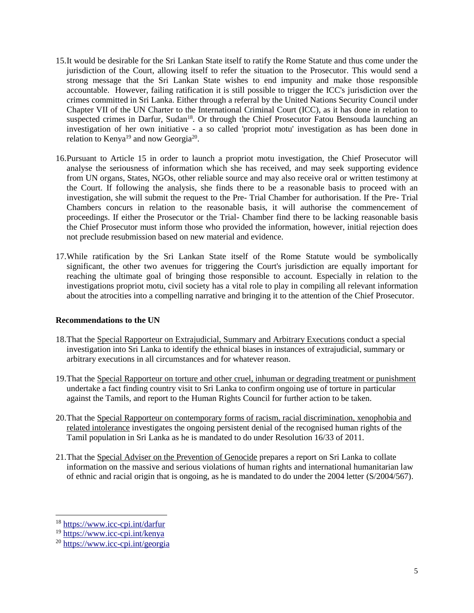- 15.It would be desirable for the Sri Lankan State itself to ratify the Rome Statute and thus come under the jurisdiction of the Court, allowing itself to refer the situation to the Prosecutor. This would send a strong message that the Sri Lankan State wishes to end impunity and make those responsible accountable. However, failing ratification it is still possible to trigger the ICC's jurisdiction over the crimes committed in Sri Lanka. Either through a referral by the United Nations Security Council under Chapter VII of the UN Charter to the International Criminal Court (ICC), as it has done in relation to suspected crimes in Darfur, Sudan<sup>18</sup>. Or through the Chief Prosecutor Fatou Bensouda launching an investigation of her own initiative - a so called 'propriot motu' investigation as has been done in relation to Kenya<sup>19</sup> and now Georgia<sup>20</sup>.
- 16.Pursuant to Article 15 in order to launch a propriot motu investigation, the Chief Prosecutor will analyse the seriousness of information which she has received, and may seek supporting evidence from UN organs, States, NGOs, other reliable source and may also receive oral or written testimony at the Court. If following the analysis, she finds there to be a reasonable basis to proceed with an investigation, she will submit the request to the Pre- Trial Chamber for authorisation. If the Pre- Trial Chambers concurs in relation to the reasonable basis, it will authorise the commencement of proceedings. If either the Prosecutor or the Trial- Chamber find there to be lacking reasonable basis the Chief Prosecutor must inform those who provided the information, however, initial rejection does not preclude resubmission based on new material and evidence.
- 17.While ratification by the Sri Lankan State itself of the Rome Statute would be symbolically significant, the other two avenues for triggering the Court's jurisdiction are equally important for reaching the ultimate goal of bringing those responsible to account. Especially in relation to the investigations propriot motu, civil society has a vital role to play in compiling all relevant information about the atrocities into a compelling narrative and bringing it to the attention of the Chief Prosecutor.

#### **Recommendations to the UN**

- 18. That the Special Rapporteur on Extrajudicial, Summary and Arbitrary Executions conduct a special investigation into Sri Lanka to identify the ethnical biases in instances of extrajudicial, summary or arbitrary executions in all circumstances and for whatever reason.
- 19.That the Special Rapporteur on torture and other cruel, inhuman or degrading treatment or punishment undertake a fact finding country visit to Sri Lanka to confirm ongoing use of torture in particular against the Tamils, and report to the Human Rights Council for further action to be taken.
- 20.That the Special Rapporteur on contemporary forms of racism, racial discrimination, xenophobia and related intolerance investigates the ongoing persistent denial of the recognised human rights of the Tamil population in Sri Lanka as he is mandated to do under Resolution 16/33 of 2011.
- 21.That the Special Adviser on the Prevention of Genocide prepares a report on Sri Lanka to collate information on the massive and serious violations of human rights and international humanitarian law of ethnic and racial origin that is ongoing, as he is mandated to do under the 2004 letter (S/2004/567).

 $\overline{a}$ 

<sup>18</sup> <https://www.icc-cpi.int/darfur>

<sup>19</sup> <https://www.icc-cpi.int/kenya>

<sup>20</sup> <https://www.icc-cpi.int/georgia>